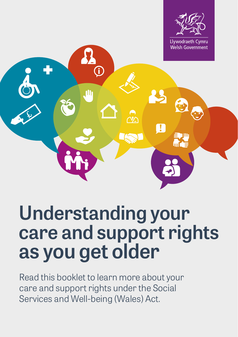

# **Understanding your care and support rights as you get older**

Read this booklet to learn more about your care and support rights under the Social Services and Well-being (Wales) Act.

M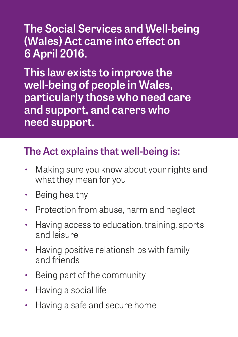### **The Social Services and Well-being (Wales) Act came into effect on 6 April 2016.**

**This law exists to improve the well-being of people in Wales, particularly those who need care and support, and carers who need support.** 

### **The Act explains that well-being is:**

- Making sure you know about your rights and what they mean for you
- Being healthy
- Protection from abuse, harm and neglect
- Having access to education, training, sports and leisure
- Having positive relationships with family and friends
- Being part of the community
- Having a social life
- Having a safe and secure home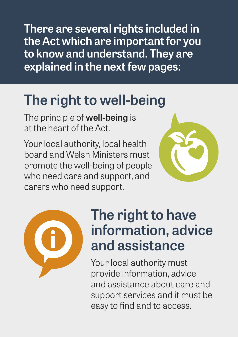**There are several rights included in the Act which are important for you to know and understand. They are explained in the next few pages:**

## **The right to well-being**

The principle of **well-being** is at the heart of the Act.

Your local authority, local health board and Welsh Ministers must promote the well-being of people who need care and support, and carers who need support.





## **The right to have information, advice and assistance**

Your local authority must provide information, advice and assistance about care and support services and it must be easy to find and to access.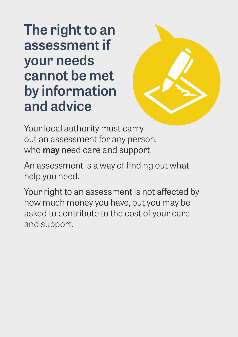**The right to an assessment if your needs cannot be met by information and advice** 



Your local authority must carry out an assessment for any person, who **may** need care and support.

An assessment is a way of finding out what help you need.

Your right to an assessment is not affected by how much money you have, but you may be asked to contribute to the cost of your care and support.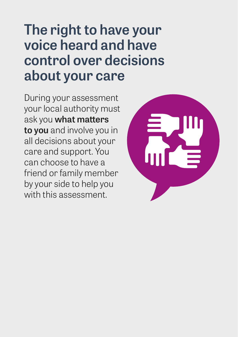## **The right to have your voice heard and have control over decisions about your care**

During your assessment your local authority must ask you **what matters to you** and involve you in all decisions about your care and support. You can choose to have a friend or family member by your side to help you with this assessment.

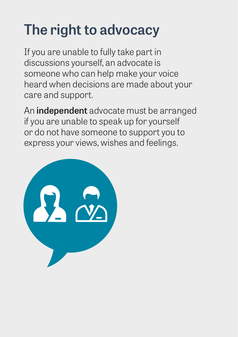# **The right to advocacy**

If you are unable to fully take part in discussions yourself, an advocate is someone who can help make your voice heard when decisions are made about your care and support.

An **independent** advocate must be arranged if you are unable to speak up for yourself or do not have someone to support you to express your views, wishes and feelings.

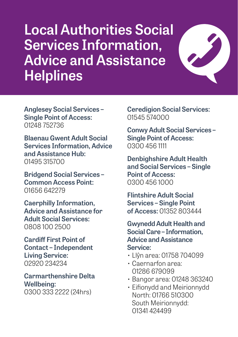## **Local Authorities Social Services Information, Advice and Assistance Helplines**



**Anglesey Social Services – Single Point of Access:**  01248 752736

**Blaenau Gwent Adult Social Services Information, Advice and Assistance Hub:**  01495 315700

**Bridgend Social Services – Common Access Point:** 01656 642279

**Caerphilly Information, Advice and Assistance for Adult Social Services:** 0808 100 2500

**Cardiff First Point of Contact – Independent Living Service:** 02920 234234

**Carmarthenshire Delta Wellbeing:**  0300 333 2222 (24hrs)

**Ceredigion Social Services:**  01545 574000

**Conwy Adult Social Services – Single Point of Access:** 0300 456 1111

**Denbighshire Adult Health and Social Services – Single Point of Access:**  0300 456 1000

**Flintshire Adult Social Services – Single Point of Access:** 01352 803444

**Gwynedd Adult Health and Social Care – Information, Advice and Assistance Service:**

- Llŷn area: 01758 704099
- Caernarfon area: 01286 679099
- Bangor area: 01248 363240
- Eifionydd and Meirionnydd North: 01766 510300 South Meirionnydd: 01341 424499